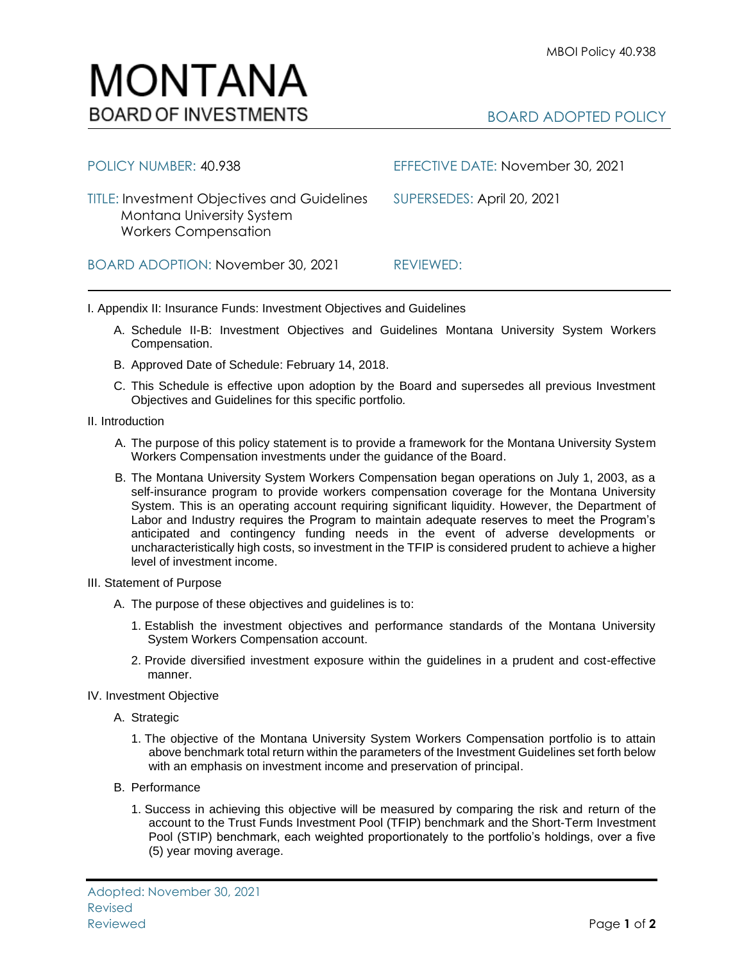

| POLICY NUMBER: 40.938                                                                                          | EFFECTIVE DATE: November 30, 2021 |
|----------------------------------------------------------------------------------------------------------------|-----------------------------------|
| <b>TITLE: Investment Objectives and Guidelines</b><br>Montana University System<br><b>Workers Compensation</b> | SUPERSEDES: April 20, 2021        |
| BOARD ADOPTION: November 30, 2021                                                                              | REVIEWED:                         |

I. Appendix II: Insurance Funds: Investment Objectives and Guidelines

- A. Schedule II-B: Investment Objectives and Guidelines Montana University System Workers Compensation.
- B. Approved Date of Schedule: February 14, 2018.
- C. This Schedule is effective upon adoption by the Board and supersedes all previous Investment Objectives and Guidelines for this specific portfolio*.*
- II. Introduction
	- A. The purpose of this policy statement is to provide a framework for the Montana University System Workers Compensation investments under the guidance of the Board.
	- B. The Montana University System Workers Compensation began operations on July 1, 2003, as a self-insurance program to provide workers compensation coverage for the Montana University System. This is an operating account requiring significant liquidity. However, the Department of Labor and Industry requires the Program to maintain adequate reserves to meet the Program's anticipated and contingency funding needs in the event of adverse developments or uncharacteristically high costs, so investment in the TFIP is considered prudent to achieve a higher level of investment income.
- III. Statement of Purpose
	- A. The purpose of these objectives and guidelines is to:
		- 1. Establish the investment objectives and performance standards of the Montana University System Workers Compensation account.
		- 2. Provide diversified investment exposure within the guidelines in a prudent and cost-effective manner.
- IV. Investment Objective
	- A. Strategic
		- 1. The objective of the Montana University System Workers Compensation portfolio is to attain above benchmark total return within the parameters of the Investment Guidelines set forth below with an emphasis on investment income and preservation of principal.
	- B. Performance
		- 1. Success in achieving this objective will be measured by comparing the risk and return of the account to the Trust Funds Investment Pool (TFIP) benchmark and the Short-Term Investment Pool (STIP) benchmark, each weighted proportionately to the portfolio's holdings, over a five (5) year moving average.